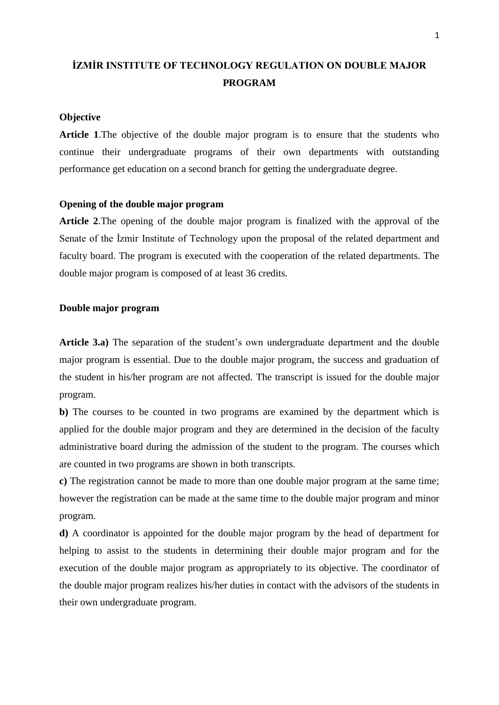# **İZMİR INSTITUTE OF TECHNOLOGY REGULATION ON DOUBLE MAJOR PROGRAM**

#### **Objective**

**Article 1**.The objective of the double major program is to ensure that the students who continue their undergraduate programs of their own departments with outstanding performance get education on a second branch for getting the undergraduate degree.

# **Opening of the double major program**

**Article 2**.The opening of the double major program is finalized with the approval of the Senate of the İzmir Institute of Technology upon the proposal of the related department and faculty board. The program is executed with the cooperation of the related departments. The double major program is composed of at least 36 credits.

## **Double major program**

**Article 3.a)** The separation of the student's own undergraduate department and the double major program is essential. Due to the double major program, the success and graduation of the student in his/her program are not affected. The transcript is issued for the double major program.

**b)** The courses to be counted in two programs are examined by the department which is applied for the double major program and they are determined in the decision of the faculty administrative board during the admission of the student to the program. The courses which are counted in two programs are shown in both transcripts.

**c)** The registration cannot be made to more than one double major program at the same time; however the registration can be made at the same time to the double major program and minor program.

**d)** A coordinator is appointed for the double major program by the head of department for helping to assist to the students in determining their double major program and for the execution of the double major program as appropriately to its objective. The coordinator of the double major program realizes his/her duties in contact with the advisors of the students in their own undergraduate program.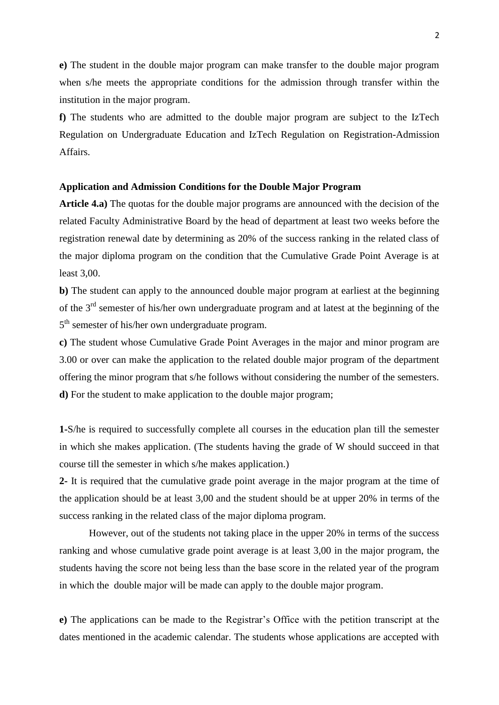**e)** The student in the double major program can make transfer to the double major program when s/he meets the appropriate conditions for the admission through transfer within the institution in the major program.

**f)** The students who are admitted to the double major program are subject to the IzTech Regulation on Undergraduate Education and IzTech Regulation on Registration-Admission Affairs.

## **Application and Admission Conditions for the Double Major Program**

**Article 4.a)** The quotas for the double major programs are announced with the decision of the related Faculty Administrative Board by the head of department at least two weeks before the registration renewal date by determining as 20% of the success ranking in the related class of the major diploma program on the condition that the Cumulative Grade Point Average is at least 3,00.

**b**) The student can apply to the announced double major program at earliest at the beginning of the 3rd semester of his/her own undergraduate program and at latest at the beginning of the 5<sup>th</sup> semester of his/her own undergraduate program.

**c)** The student whose Cumulative Grade Point Averages in the major and minor program are 3.00 or over can make the application to the related double major program of the department offering the minor program that s/he follows without considering the number of the semesters. **d)** For the student to make application to the double major program;

**1-**S/he is required to successfully complete all courses in the education plan till the semester in which she makes application. (The students having the grade of W should succeed in that course till the semester in which s/he makes application.)

**2-** It is required that the cumulative grade point average in the major program at the time of the application should be at least 3,00 and the student should be at upper 20% in terms of the success ranking in the related class of the major diploma program.

However, out of the students not taking place in the upper 20% in terms of the success ranking and whose cumulative grade point average is at least 3,00 in the major program, the students having the score not being less than the base score in the related year of the program in which the double major will be made can apply to the double major program.

**e)** The applications can be made to the Registrar's Office with the petition transcript at the dates mentioned in the academic calendar. The students whose applications are accepted with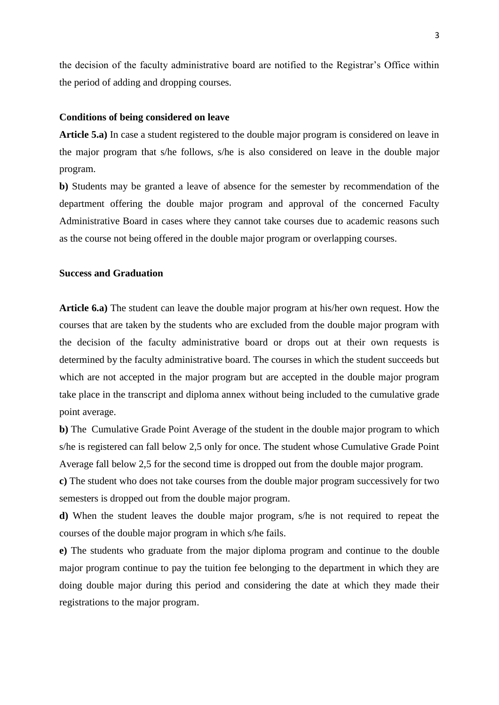the decision of the faculty administrative board are notified to the Registrar's Office within the period of adding and dropping courses.

## **Conditions of being considered on leave**

**Article 5.a)** In case a student registered to the double major program is considered on leave in the major program that s/he follows, s/he is also considered on leave in the double major program.

**b)** Students may be granted a leave of absence for the semester by recommendation of the department offering the double major program and approval of the concerned Faculty Administrative Board in cases where they cannot take courses due to academic reasons such as the course not being offered in the double major program or overlapping courses.

# **Success and Graduation**

**Article 6.a)** The student can leave the double major program at his/her own request. How the courses that are taken by the students who are excluded from the double major program with the decision of the faculty administrative board or drops out at their own requests is determined by the faculty administrative board. The courses in which the student succeeds but which are not accepted in the major program but are accepted in the double major program take place in the transcript and diploma annex without being included to the cumulative grade point average.

**b)** The Cumulative Grade Point Average of the student in the double major program to which s/he is registered can fall below 2,5 only for once. The student whose Cumulative Grade Point Average fall below 2,5 for the second time is dropped out from the double major program.

**c)** The student who does not take courses from the double major program successively for two semesters is dropped out from the double major program.

**d)** When the student leaves the double major program, s/he is not required to repeat the courses of the double major program in which s/he fails.

**e)** The students who graduate from the major diploma program and continue to the double major program continue to pay the tuition fee belonging to the department in which they are doing double major during this period and considering the date at which they made their registrations to the major program.